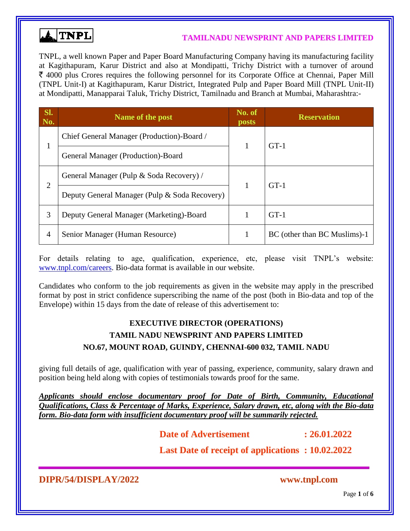

#### **TAMILNADU NEWSPRINT AND PAPERS LIMITED**

TNPL, a well known Paper and Paper Board Manufacturing Company having its manufacturing facility at Kagithapuram, Karur District and also at Mondipatti, Trichy District with a turnover of around  $\bar{\xi}$  4000 plus Crores requires the following personnel for its Corporate Office at Chennai, Paper Mill (TNPL Unit-I) at Kagithapuram, Karur District, Integrated Pulp and Paper Board Mill (TNPL Unit-II) at Mondipatti, Manapparai Taluk, Trichy District, Tamilnadu and Branch at Mumbai, Maharashtra:-

| SI.<br>No.     | Name of the post                              | No. of<br><b>posts</b> | <b>Reservation</b>           |  |
|----------------|-----------------------------------------------|------------------------|------------------------------|--|
|                | Chief General Manager (Production)-Board /    | 1                      |                              |  |
| T              | General Manager (Production)-Board            |                        | $GT-1$<br>$GT-1$             |  |
| $\overline{2}$ | General Manager (Pulp & Soda Recovery) /      | 1                      |                              |  |
|                | Deputy General Manager (Pulp & Soda Recovery) |                        |                              |  |
| 3              | Deputy General Manager (Marketing)-Board      |                        | $GT-1$                       |  |
| 4              | Senior Manager (Human Resource)               | 1                      | BC (other than BC Muslims)-1 |  |

For details relating to age, qualification, experience, etc, please visit TNPL's website: [www.tnpl.com/careers.](http://www.tnpl.com/careers) Bio-data format is available in our website.

Candidates who conform to the job requirements as given in the website may apply in the prescribed format by post in strict confidence superscribing the name of the post (both in Bio-data and top of the Envelope) within 15 days from the date of release of this advertisement to:

## **EXECUTIVE DIRECTOR (OPERATIONS) TAMIL NADU NEWSPRINT AND PAPERS LIMITED NO.67, MOUNT ROAD, GUINDY, CHENNAI-600 032, TAMIL NADU**

giving full details of age, qualification with year of passing, experience, community, salary drawn and position being held along with copies of testimonials towards proof for the same.

*Applicants should enclose documentary proof for Date of Birth, Community, Educational Qualifications, Class & Percentage of Marks, Experience, Salary drawn, etc, along with the Bio-data form. Bio-data form with insufficient documentary proof will be summarily rejected.*

**Date of Advertisement : 26.01.2022** 

**Last Date of receipt of applications : 10.02.2022**

**DIPR/54/DISPLAY/2022 www.tnpl.com**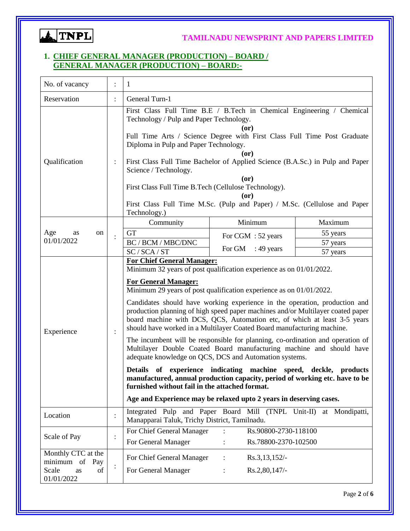

#### **1. CHIEF GENERAL MANAGER (PRODUCTION) – BOARD / GENERAL MANAGER (PRODUCTION) – BOARD:-**

| No. of vacancy<br>$\mathbf{1}$                                          |                      |                                                                                                                                                                                                                                                                                                                                                                                                                                                                                                                                                                                                                                                                                                                                                                                                                                                                                                                                                                                                                                      |        |                                              |                                  |  |
|-------------------------------------------------------------------------|----------------------|--------------------------------------------------------------------------------------------------------------------------------------------------------------------------------------------------------------------------------------------------------------------------------------------------------------------------------------------------------------------------------------------------------------------------------------------------------------------------------------------------------------------------------------------------------------------------------------------------------------------------------------------------------------------------------------------------------------------------------------------------------------------------------------------------------------------------------------------------------------------------------------------------------------------------------------------------------------------------------------------------------------------------------------|--------|----------------------------------------------|----------------------------------|--|
| Reservation                                                             | $\ddot{\phantom{0}}$ | General Turn-1                                                                                                                                                                                                                                                                                                                                                                                                                                                                                                                                                                                                                                                                                                                                                                                                                                                                                                                                                                                                                       |        |                                              |                                  |  |
| Qualification                                                           |                      | First Class Full Time B.E / B.Tech in Chemical Engineering / Chemical<br>Technology / Pulp and Paper Technology.<br>(or)<br>Full Time Arts / Science Degree with First Class Full Time Post Graduate<br>Diploma in Pulp and Paper Technology.<br>(or)<br>First Class Full Time Bachelor of Applied Science (B.A.Sc.) in Pulp and Paper<br>Science / Technology.<br>(0r)<br>First Class Full Time B.Tech (Cellulose Technology).<br>(or)<br>First Class Full Time M.Sc. (Pulp and Paper) / M.Sc. (Cellulose and Paper<br>Technology.)                                                                                                                                                                                                                                                                                                                                                                                                                                                                                                 |        |                                              |                                  |  |
|                                                                         |                      | Community                                                                                                                                                                                                                                                                                                                                                                                                                                                                                                                                                                                                                                                                                                                                                                                                                                                                                                                                                                                                                            |        | Minimum                                      | Maximum                          |  |
| Age<br>on<br>as<br>01/01/2022                                           |                      | <b>GT</b><br>BC / BCM / MBC/DNC<br>SC / SCA / ST                                                                                                                                                                                                                                                                                                                                                                                                                                                                                                                                                                                                                                                                                                                                                                                                                                                                                                                                                                                     | For GM | For CGM : 52 years<br>: 49 years             | 55 years<br>57 years<br>57 years |  |
| Experience                                                              | $\ddot{\cdot}$       | <b>For Chief General Manager:</b><br>Minimum 32 years of post qualification experience as on 01/01/2022.<br><b>For General Manager:</b><br>Minimum 29 years of post qualification experience as on 01/01/2022.<br>Candidates should have working experience in the operation, production and<br>production planning of high speed paper machines and/or Multilayer coated paper<br>board machine with DCS, QCS, Automation etc, of which at least 3-5 years<br>should have worked in a Multilayer Coated Board manufacturing machine.<br>The incumbent will be responsible for planning, co-ordination and operation of<br>Multilayer Double Coated Board manufacturing machine and should have<br>adequate knowledge on QCS, DCS and Automation systems.<br>Details of experience indicating machine speed, deckle, products<br>manufactured, annual production capacity, period of working etc. have to be<br>furnished without fail in the attached format.<br>Age and Experience may be relaxed upto 2 years in deserving cases. |        |                                              |                                  |  |
| Location                                                                |                      | Integrated Pulp and Paper Board Mill (TNPL Unit-II)<br>at Mondipatti,<br>Manapparai Taluk, Trichy District, Tamilnadu.                                                                                                                                                                                                                                                                                                                                                                                                                                                                                                                                                                                                                                                                                                                                                                                                                                                                                                               |        |                                              |                                  |  |
| Scale of Pay                                                            | $\ddot{\cdot}$       | For Chief General Manager<br>For General Manager                                                                                                                                                                                                                                                                                                                                                                                                                                                                                                                                                                                                                                                                                                                                                                                                                                                                                                                                                                                     |        | Rs.90800-2730-118100<br>Rs.78800-2370-102500 |                                  |  |
| Monthly CTC at the<br>minimum of Pay<br>Scale<br>of<br>as<br>01/01/2022 |                      | For Chief General Manager<br>For General Manager                                                                                                                                                                                                                                                                                                                                                                                                                                                                                                                                                                                                                                                                                                                                                                                                                                                                                                                                                                                     |        | Rs.3,13,152/-<br>Rs.2,80,147/-               |                                  |  |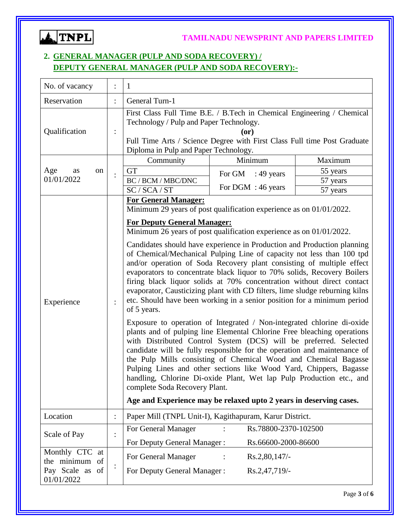

## **2. GENERAL MANAGER (PULP AND SODA RECOVERY) / DEPUTY GENERAL MANAGER (PULP AND SODA RECOVERY):-**

| No. of vacancy                                     |                | 1                                                                                                                                                                                                                                                                                                                                                                                                                                                                                                                                                                                                                                                                                                                    |                        |          |  |  |
|----------------------------------------------------|----------------|----------------------------------------------------------------------------------------------------------------------------------------------------------------------------------------------------------------------------------------------------------------------------------------------------------------------------------------------------------------------------------------------------------------------------------------------------------------------------------------------------------------------------------------------------------------------------------------------------------------------------------------------------------------------------------------------------------------------|------------------------|----------|--|--|
| Reservation                                        |                | General Turn-1                                                                                                                                                                                                                                                                                                                                                                                                                                                                                                                                                                                                                                                                                                       |                        |          |  |  |
| Qualification                                      |                | First Class Full Time B.E. / B.Tech in Chemical Engineering / Chemical<br>Technology / Pulp and Paper Technology.<br>$($ or $)$<br>Full Time Arts / Science Degree with First Class Full time Post Graduate<br>Diploma in Pulp and Paper Technology.                                                                                                                                                                                                                                                                                                                                                                                                                                                                 |                        |          |  |  |
|                                                    |                | Community                                                                                                                                                                                                                                                                                                                                                                                                                                                                                                                                                                                                                                                                                                            | Minimum                | Maximum  |  |  |
| Age<br>on<br>as                                    |                | <b>GT</b>                                                                                                                                                                                                                                                                                                                                                                                                                                                                                                                                                                                                                                                                                                            | For GM<br>$: 49$ years | 55 years |  |  |
| 01/01/2022                                         |                | BC / BCM / MBC/DNC                                                                                                                                                                                                                                                                                                                                                                                                                                                                                                                                                                                                                                                                                                   | For DGM : 46 years     | 57 years |  |  |
|                                                    |                | SC/SCA/ST                                                                                                                                                                                                                                                                                                                                                                                                                                                                                                                                                                                                                                                                                                            |                        | 57 years |  |  |
|                                                    |                | <b>For General Manager:</b><br>Minimum 29 years of post qualification experience as on 01/01/2022.<br><b>For Deputy General Manager:</b><br>Minimum 26 years of post qualification experience as on 01/01/2022.<br>Candidates should have experience in Production and Production planning<br>of Chemical/Mechanical Pulping Line of capacity not less than 100 tpd<br>and/or operation of Soda Recovery plant consisting of multiple effect<br>evaporators to concentrate black liquor to 70% solids, Recovery Boilers<br>firing black liquor solids at 70% concentration without direct contact<br>evaporator, Causticizing plant with CD filters, lime sludge reburning kilns                                     |                        |          |  |  |
| Experience                                         |                | etc. Should have been working in a senior position for a minimum period<br>of 5 years.<br>Exposure to operation of Integrated / Non-integrated chlorine di-oxide<br>plants and of pulping line Elemental Chlorine Free bleaching operations<br>with Distributed Control System (DCS) will be preferred. Selected<br>candidate will be fully responsible for the operation and maintenance of<br>the Pulp Mills consisting of Chemical Wood and Chemical Bagasse<br>Pulping Lines and other sections like Wood Yard, Chippers, Bagasse<br>handling, Chlorine Di-oxide Plant, Wet lap Pulp Production etc., and<br>complete Soda Recovery Plant.<br>Age and Experience may be relaxed upto 2 years in deserving cases. |                        |          |  |  |
| Location                                           | $\ddot{\cdot}$ | Paper Mill (TNPL Unit-I), Kagithapuram, Karur District.                                                                                                                                                                                                                                                                                                                                                                                                                                                                                                                                                                                                                                                              |                        |          |  |  |
|                                                    |                | For General Manager                                                                                                                                                                                                                                                                                                                                                                                                                                                                                                                                                                                                                                                                                                  | Rs.78800-2370-102500   |          |  |  |
| Scale of Pay                                       |                | For Deputy General Manager:                                                                                                                                                                                                                                                                                                                                                                                                                                                                                                                                                                                                                                                                                          | Rs.66600-2000-86600    |          |  |  |
| Monthly CTC at                                     |                | For General Manager                                                                                                                                                                                                                                                                                                                                                                                                                                                                                                                                                                                                                                                                                                  | Rs.2,80,147/-          |          |  |  |
| the minimum<br>of<br>Pay Scale as of<br>01/01/2022 |                | For Deputy General Manager:                                                                                                                                                                                                                                                                                                                                                                                                                                                                                                                                                                                                                                                                                          | Rs.2,47,719/-          |          |  |  |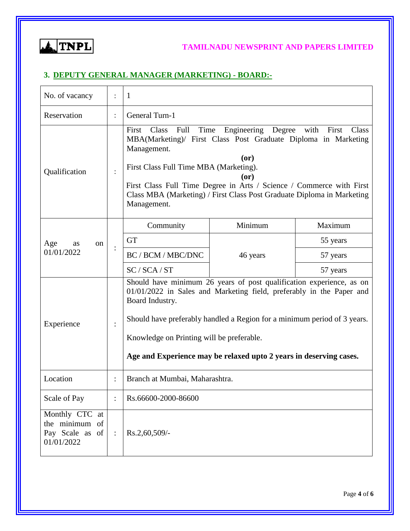ATNPL

### **TAMILNADU NEWSPRINT AND PAPERS LIMITED**

### **3. DEPUTY GENERAL MANAGER (MARKETING) - BOARD:-**

| No. of vacancy                                                    |                | $\mathbf{1}$                                                                                                                                                                                                                                                                                                                                                                                  |          |          |  |  |
|-------------------------------------------------------------------|----------------|-----------------------------------------------------------------------------------------------------------------------------------------------------------------------------------------------------------------------------------------------------------------------------------------------------------------------------------------------------------------------------------------------|----------|----------|--|--|
| Reservation                                                       | $\ddot{\cdot}$ | General Turn-1                                                                                                                                                                                                                                                                                                                                                                                |          |          |  |  |
| Qualification                                                     |                | Engineering Degree with<br>Time<br>First<br>Class<br>Full<br>First<br>Class<br>MBA(Marketing)/ First Class Post Graduate Diploma in Marketing<br>Management.<br>(0r)<br>First Class Full Time MBA (Marketing).<br>$($ or $)$<br>First Class Full Time Degree in Arts / Science / Commerce with First<br>Class MBA (Marketing) / First Class Post Graduate Diploma in Marketing<br>Management. |          |          |  |  |
|                                                                   |                | Community                                                                                                                                                                                                                                                                                                                                                                                     | Minimum  | Maximum  |  |  |
| Age<br><sub>on</sub><br>as                                        |                | <b>GT</b>                                                                                                                                                                                                                                                                                                                                                                                     |          | 55 years |  |  |
| 01/01/2022                                                        |                | BC / BCM / MBC/DNC                                                                                                                                                                                                                                                                                                                                                                            | 46 years | 57 years |  |  |
|                                                                   |                | SC / SCA / ST                                                                                                                                                                                                                                                                                                                                                                                 |          | 57 years |  |  |
| Experience                                                        |                | Should have minimum 26 years of post qualification experience, as on<br>01/01/2022 in Sales and Marketing field, preferably in the Paper and<br>Board Industry.<br>Should have preferably handled a Region for a minimum period of 3 years.<br>Knowledge on Printing will be preferable.<br>Age and Experience may be relaxed upto 2 years in deserving cases.                                |          |          |  |  |
| Location                                                          |                | Branch at Mumbai, Maharashtra.                                                                                                                                                                                                                                                                                                                                                                |          |          |  |  |
| Scale of Pay                                                      |                | Rs.66600-2000-86600                                                                                                                                                                                                                                                                                                                                                                           |          |          |  |  |
| Monthly CTC at<br>the minimum of<br>Pay Scale as of<br>01/01/2022 | $\ddot{\cdot}$ | Rs.2,60,509/-                                                                                                                                                                                                                                                                                                                                                                                 |          |          |  |  |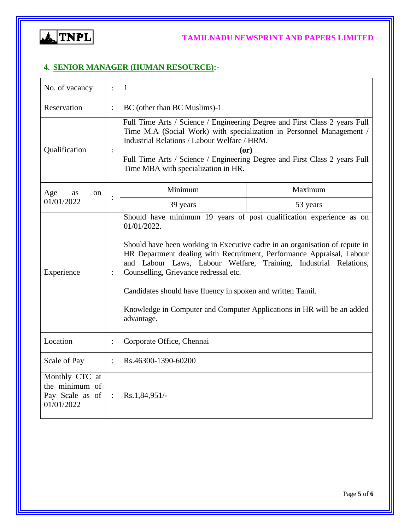

### **4. SENIOR MANAGER (HUMAN RESOURCE):-**

| No. of vacancy<br>$\ddot{\phantom{a}}$<br>$\mathbf{1}$                                                                                                                                                                                                                                                                                                             |                |                                                                                                                                                                                                                                                                                                                                                                                                                                                                                                                |          |  |  |
|--------------------------------------------------------------------------------------------------------------------------------------------------------------------------------------------------------------------------------------------------------------------------------------------------------------------------------------------------------------------|----------------|----------------------------------------------------------------------------------------------------------------------------------------------------------------------------------------------------------------------------------------------------------------------------------------------------------------------------------------------------------------------------------------------------------------------------------------------------------------------------------------------------------------|----------|--|--|
| Reservation                                                                                                                                                                                                                                                                                                                                                        | $\ddot{\cdot}$ | BC (other than BC Muslims)-1                                                                                                                                                                                                                                                                                                                                                                                                                                                                                   |          |  |  |
| Full Time Arts / Science / Engineering Degree and First Class 2 years Full<br>Time M.A (Social Work) with specialization in Personnel Management /<br>Industrial Relations / Labour Welfare / HRM.<br>Qualification<br>$\ddot{\cdot}$<br>(or)<br>Full Time Arts / Science / Engineering Degree and First Class 2 years Full<br>Time MBA with specialization in HR. |                |                                                                                                                                                                                                                                                                                                                                                                                                                                                                                                                |          |  |  |
| Age<br><b>as</b><br><sub>on</sub>                                                                                                                                                                                                                                                                                                                                  |                | Minimum                                                                                                                                                                                                                                                                                                                                                                                                                                                                                                        | Maximum  |  |  |
| 01/01/2022                                                                                                                                                                                                                                                                                                                                                         |                | 39 years                                                                                                                                                                                                                                                                                                                                                                                                                                                                                                       | 53 years |  |  |
| Experience                                                                                                                                                                                                                                                                                                                                                         | $\ddot{\cdot}$ | Should have minimum 19 years of post qualification experience as on<br>01/01/2022.<br>Should have been working in Executive cadre in an organisation of repute in<br>HR Department dealing with Recruitment, Performance Appraisal, Labour<br>and Labour Laws, Labour Welfare, Training, Industrial Relations,<br>Counselling, Grievance redressal etc.<br>Candidates should have fluency in spoken and written Tamil.<br>Knowledge in Computer and Computer Applications in HR will be an added<br>advantage. |          |  |  |
| Location                                                                                                                                                                                                                                                                                                                                                           | $\ddot{\cdot}$ | Corporate Office, Chennai                                                                                                                                                                                                                                                                                                                                                                                                                                                                                      |          |  |  |
| Scale of Pay                                                                                                                                                                                                                                                                                                                                                       | $\ddot{\cdot}$ | Rs.46300-1390-60200                                                                                                                                                                                                                                                                                                                                                                                                                                                                                            |          |  |  |
| Monthly CTC at<br>the minimum of<br>Pay Scale as of<br>01/01/2022                                                                                                                                                                                                                                                                                                  | $\ddot{\cdot}$ | $Rs.1,84,951/-$                                                                                                                                                                                                                                                                                                                                                                                                                                                                                                |          |  |  |